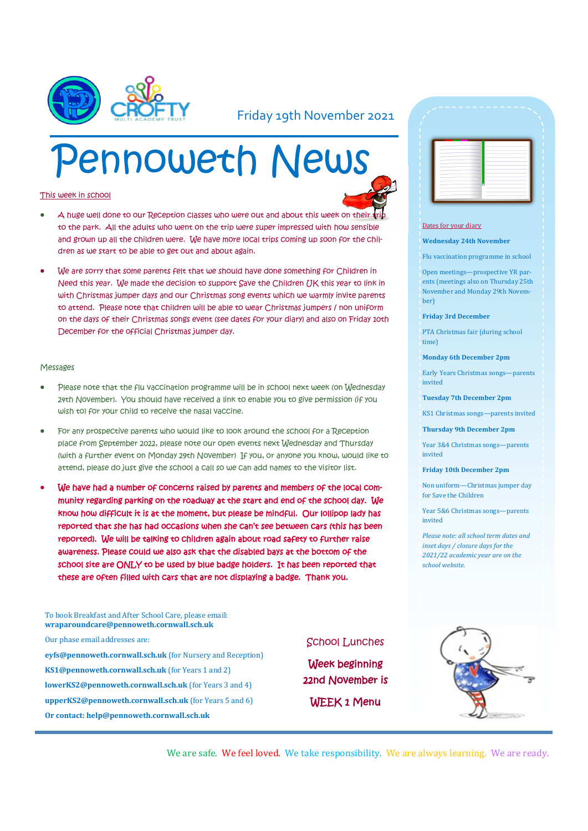

#### Friday 19th November 2021

# Pennoweth News

#### This week in school

- 
- A huge well done to our Reception classes who were out and about this week on their to the park. All the adults who went on the trip were super impressed with how sensible and grown up all the children were. We have more local trips coming up soon for the children as we start to be able to get out and about again.
- We are sorry that some parents felt that we should have done something for Children in Need this year. We made the decision to support Save the Children UK this year to link in with Christmas jumper days and our Christmas song events which we warmly invite parents to attend. Please note that children will be able to wear Christmas jumpers / non uniform on the days of their Christmas songs event (see dates for your diary) and also on Friday 10th December for the official Christmas jumper day.

#### Messages

- Please note that the flu vaccination programme will be in school next week (on Wednesday 24th November). You should have received a link to enable you to give permission (if you wish to) for your child to receive the nasal vaccine.
- For any prospective parents who would like to look around the school for a Reception place from September 2022, please note our open events next Wednesday and Thursday (with a further event on Monday 29th November) If you, or anyone you know, would like to attend, please do just give the school a call so we can add names to the visitor list.
- We have had a number of concerns raised by parents and members of the local community regarding parking on the roadway at the start and end of the school day. We know how difficult it is at the moment, but please be mindful. Our lollipop lady has reported that she has had occasions when she can't see between cars (this has been reported). We will be talking to children again about road safety to further raise awareness. Please could we also ask that the disabled bays at the bottom of the school site are ONLY to be used by blue badge holders. It has been reported that these are often filled with cars that are not displaying a badge. Thank you.

To book Breakfast and After School Care, please email: **wraparoundcare@pennoweth.cornwall.sch.uk** Our phase email addresses are: **eyfs@pennoweth.cornwall.sch.uk** (for Nursery and Reception) **KS1@pennoweth.cornwall.sch.uk** (for Years 1 and 2) **lowerKS2@pennoweth.cornwall.sch.uk** (for Years 3 and 4) **upperKS2@pennoweth.cornwall.sch.uk** (for Years 5 and 6) **Or contact: help@pennoweth.cornwall.sch.uk**

#### School Lunches

Week beginning 22nd November is WEEK 1 Menu

|        | -                                  | -                                                                                              | -      |
|--------|------------------------------------|------------------------------------------------------------------------------------------------|--------|
|        | -                                  | $\frac{1}{2}$                                                                                  | -      |
|        | <b>STATISTICS</b><br>-             |                                                                                                |        |
|        | -<br>--                            |                                                                                                | -      |
|        | -                                  |                                                                                                | -<br>۰ |
|        | $\sim$<br>يبارك                    |                                                                                                | ۰      |
| $\sim$ | $\sim$<br>-                        |                                                                                                | -<br>÷ |
|        | $\sim$                             | -                                                                                              | -      |
|        | $\overline{\phantom{a}}$<br>$\sim$ | -                                                                                              |        |
|        | $\sim$                             | $\frac{1}{2} \left( \frac{1}{2} \right) \left( \frac{1}{2} \right) \left( \frac{1}{2} \right)$ | -      |

#### Dates for your diary

#### **Wednesday 24th November**

Flu vaccination programme in school

Open meetings—prospective YR parents (meetings also on Thursday 25th November and Monday 29th November)

#### **Friday 3rd December**

PTA Christmas fair (during school time)

#### **Monday 6th December 2pm**

Early Years Christmas songs—parents invited

**Tuesday 7th December 2pm**

KS1 Christmas songs—parents invited

**Thursday 9th December 2pm**

Year 3&4 Christmas songs—parents invited

#### **Friday 10th December 2pm**

Non uniform—Christmas jumper day for Save the Children

Year 5&6 Christmas songs—parents invited

*Please note: all school term dates and inset days / closure days for the 2021/22 academic year are on the school website.* 

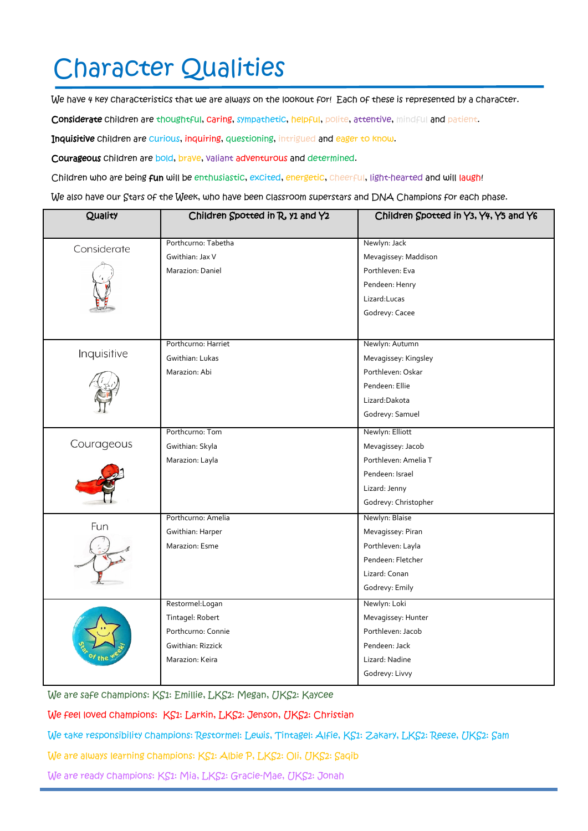## Character Qualities

We have 4 key characteristics that we are always on the lookout for! Each of these is represented by a character.

Considerate children are thoughtful, caring, sympathetic, helpful, polite, attentive, mindful and patient.

Inquisitive children are curious, inquiring, questioning, intrigued and eager to know.

Courageous children are bold, brave, valiant adventurous and determined.

Children who are being fun will be enthusiastic, excited, energetic, cheerful, light-hearted and will laugh!

We also have our Stars of the Week, who have been classroom superstars and DNA Champions for each phase.

| Quality     | Children Spotted in R, y1 and Y2 | Children Spotted in Y3, Y4, Y5 and Y6 |  |
|-------------|----------------------------------|---------------------------------------|--|
|             | Porthcurno: Tabetha              | Newlyn: Jack                          |  |
| Considerate | Gwithian: Jax V                  | Mevagissey: Maddison                  |  |
|             | Marazion: Daniel                 | Porthleven: Eva                       |  |
|             |                                  | Pendeen: Henry                        |  |
|             |                                  | Lizard:Lucas                          |  |
|             |                                  | Godrevy: Cacee                        |  |
|             |                                  |                                       |  |
| Inquisitive | Porthcurno: Harriet              | Newlyn: Autumn                        |  |
|             | Gwithian: Lukas                  | Mevagissey: Kingsley                  |  |
|             | Marazion: Abi                    | Porthleven: Oskar                     |  |
|             |                                  | Pendeen: Ellie                        |  |
|             |                                  | Lizard:Dakota                         |  |
|             |                                  | Godrevy: Samuel                       |  |
| Courageous  | Porthcurno: Tom                  | Newlyn: Elliott                       |  |
|             | Gwithian: Skyla                  | Mevagissey: Jacob                     |  |
|             | Marazion: Layla                  | Porthleven: Amelia T                  |  |
|             |                                  | Pendeen: Israel                       |  |
|             |                                  | Lizard: Jenny                         |  |
|             |                                  | Godrevy: Christopher                  |  |
| Fun         | Porthcurno: Amelia               | Newlyn: Blaise                        |  |
|             | Gwithian: Harper                 | Mevagissey: Piran                     |  |
|             | Marazion: Esme                   | Porthleven: Layla                     |  |
|             |                                  | Pendeen: Fletcher                     |  |
|             |                                  | Lizard: Conan                         |  |
|             |                                  | Godrevy: Emily                        |  |
|             | Restormel: Logan                 | Newlyn: Loki                          |  |
|             | Tintagel: Robert                 | Mevagissey: Hunter                    |  |
|             | Porthcurno: Connie               | Porthleven: Jacob                     |  |
|             | Gwithian: Rizzick                | Pendeen: Jack                         |  |
|             | Marazion: Keira                  | Lizard: Nadine                        |  |
|             |                                  | Godrevy: Livvy                        |  |

We are safe champions: KS1: Emillie, LKS2: Megan, UKS2: Kaycee

We feel loved champions: KS1: Larkin, LKS2: Jenson, UKS2: Christian

We take responsibility champions: Restormel: Lewis, Tintagel: Alfie, KS1: Zakary, LKS2: Reese, UKS2: Sam

We are always learning champions: KS1: Albie P, LKS2: Oli, UKS2: Saqib

We are ready champions: KS1: Mia, LKS2: Gracie-Mae, UKS2: Jonah